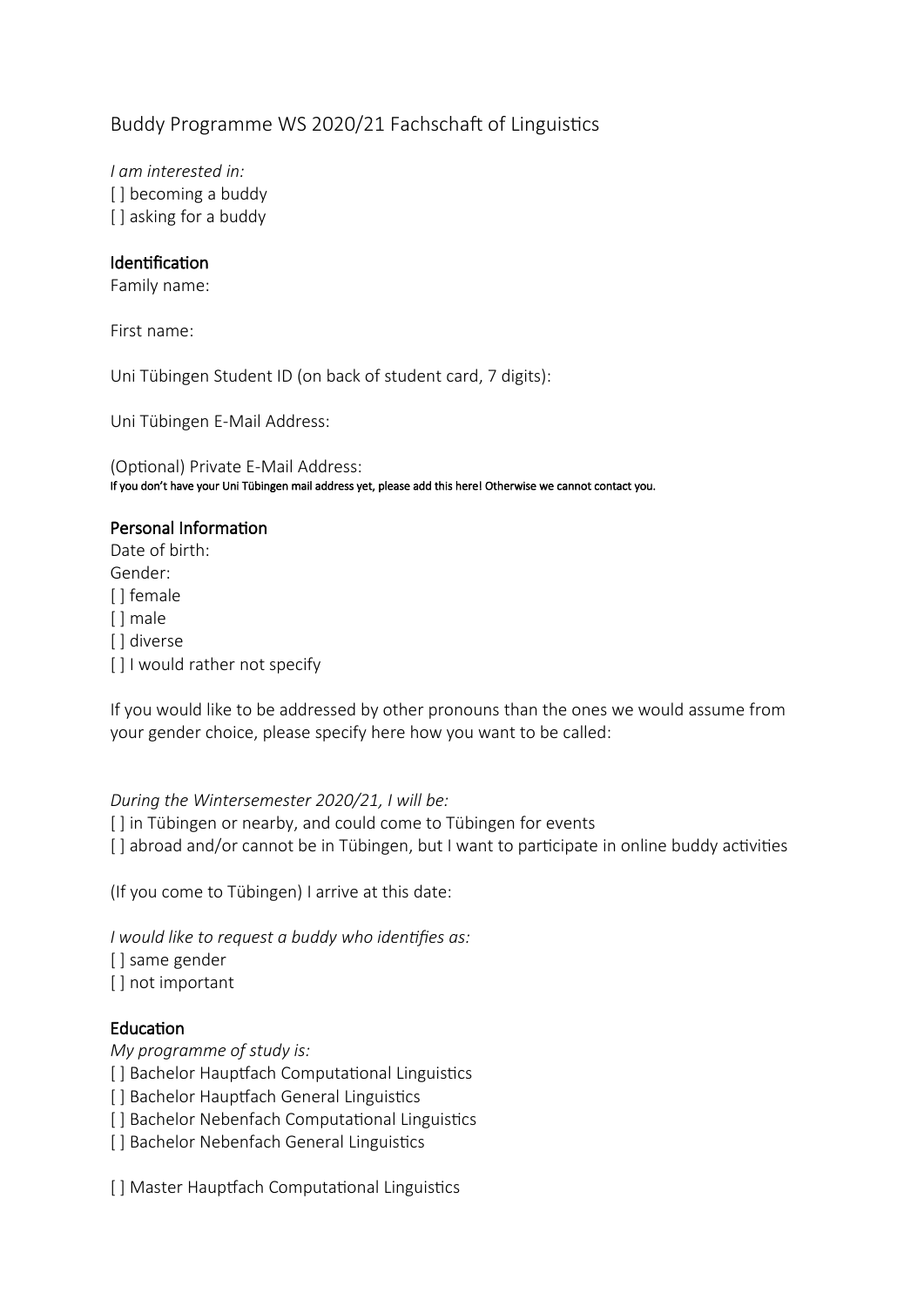# Buddy Programme WS 2020/21 Fachschaft of Linguistics

*I am interested in:* [ ] becoming a buddy [ ] asking for a buddy

# Identification

Family name:

First name:

Uni Tübingen Student ID (on back of student card, 7 digits):

Uni Tübingen E-Mail Address:

(Optional) Private E-Mail Address: If you don't have your Uni Tübingen mail address yet, please add this here! Otherwise we cannot contact you.

# Personal Information

Date of birth: Gender: [ ] female [ ] male [] diverse [ ] I would rather not specify

If you would like to be addressed by other pronouns than the ones we would assume from your gender choice, please specify here how you want to be called:

# *During the Wintersemester 2020/21, I will be:*

[] in Tübingen or nearby, and could come to Tübingen for events

[] abroad and/or cannot be in Tübingen, but I want to participate in online buddy activities

(If you come to Tübingen) I arrive at this date:

*I would like to request a buddy who identifies as:*

- [ ] same gender
- [] not important

# Education

# *My programme of study is:*

[ ] Bachelor Hauptfach Computational Linguistics

- [] Bachelor Hauptfach General Linguistics
- [ ] Bachelor Nebenfach Computational Linguistics
- [ ] Bachelor Nebenfach General Linguistics

[] Master Hauptfach Computational Linguistics